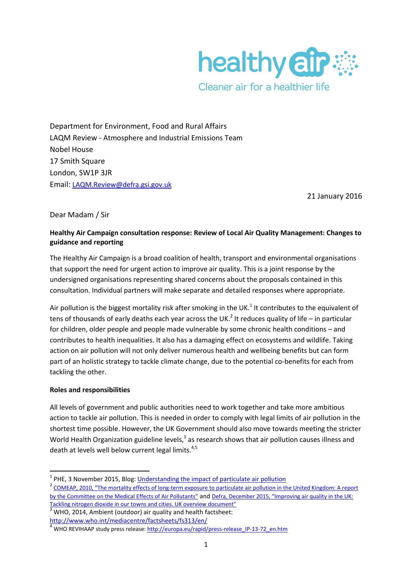

Department for Environment, Food and Rural Affairs LAQM Review - Atmosphere and Industrial Emissions Team Nobel House 17 Smith Square London, SW1P 3JR Email: [LAQM.Review@defra.gsi.gov.uk](mailto:LAQM.Review@defra.gsi.gov.uk)

21 January 2016

# Dear Madam / Sir

## **Healthy Air Campaign consultation response: Review of Local Air Quality Management: Changes to guidance and reporting**

The Healthy Air Campaign is a broad coalition of health, transport and environmental organisations that support the need for urgent action to improve air quality. This is a joint response by the undersigned organisations representing shared concerns about the proposals contained in this consultation. Individual partners will make separate and detailed responses where appropriate.

Air pollution is the biggest mortality risk after smoking in the UK.<sup>1</sup> It contributes to the equivalent of tens of thousands of early deaths each year across the UK.<sup>2</sup> It reduces quality of life – in particular for children, older people and people made vulnerable by some chronic health conditions – and contributes to health inequalities. It also has a damaging effect on ecosystems and wildlife. Taking action on air pollution will not only deliver numerous health and wellbeing benefits but can form part of an holistic strategy to tackle climate change, due to the potential co-benefits for each from tackling the other.

#### **Roles and responsibilities**

**.** 

All levels of government and public authorities need to work together and take more ambitious action to tackle air pollution. This is needed in order to comply with legal limits of air pollution in the shortest time possible. However, the UK Government should also move towards meeting the stricter World Health Organization guideline levels,<sup>3</sup> as research shows that air pollution causes illness and death at levels well below current legal limits.<sup>4,5</sup>

<http://www.who.int/mediacentre/factsheets/fs313/en/>

<sup>&</sup>lt;sup>1</sup> PHE, 3 November 2015, Blog: <u>[Understanding the impact of particulate air pollution](https://publichealthmatters.blog.gov.uk/2015/11/03/understanding-the-impact-of-particulate-air-pollution/)</u>

<sup>&</sup>lt;sup>2</sup> COMEAP, 2010, "The mortality effects of long-term exposure to particulate air pollution in the United Kingdom: A report [by the Committee on the Medical Effects of Air Pollutants"](https://www.gov.uk/government/uploads/system/uploads/attachment_data/file/304641/COMEAP_mortality_effects_of_long_term_exposure.pdf) and [Defra, December 2015, "Improving air quality in the UK:](https://www.gov.uk/government/publications/air-quality-in-the-uk-plan-to-reduce-nitrogen-dioxide-emissions)  [Tackling nitrogen dioxide in our towns and cities. UK overview document"](https://www.gov.uk/government/publications/air-quality-in-the-uk-plan-to-reduce-nitrogen-dioxide-emissions)

 $3$  WHO, 2014, Ambient (outdoor) air quality and health factsheet:

<sup>&</sup>lt;sup>4</sup> WHO REVIHAAP study press release: http://europa.eu/rapid/press-release IP-13-72 en.htm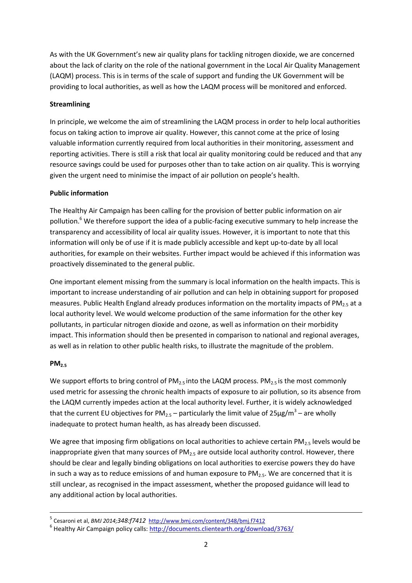As with the UK Government's new air quality plans for tackling nitrogen dioxide, we are concerned about the lack of clarity on the role of the national government in the Local Air Quality Management (LAQM) process. This is in terms of the scale of support and funding the UK Government will be providing to local authorities, as well as how the LAQM process will be monitored and enforced.

## **Streamlining**

In principle, we welcome the aim of streamlining the LAQM process in order to help local authorities focus on taking action to improve air quality. However, this cannot come at the price of losing valuable information currently required from local authorities in their monitoring, assessment and reporting activities. There is still a risk that local air quality monitoring could be reduced and that any resource savings could be used for purposes other than to take action on air quality. This is worrying given the urgent need to minimise the impact of air pollution on people's health.

### **Public information**

The Healthy Air Campaign has been calling for the provision of better public information on air pollution.<sup>6</sup> We therefore support the idea of a public-facing executive summary to help increase the transparency and accessibility of local air quality issues. However, it is important to note that this information will only be of use if it is made publicly accessible and kept up-to-date by all local authorities, for example on their websites. Further impact would be achieved if this information was proactively disseminated to the general public.

One important element missing from the summary is local information on the health impacts. This is important to increase understanding of air pollution and can help in obtaining support for proposed measures. Public Health England already produces information on the mortality impacts of PM<sub>2.5</sub> at a local authority level. We would welcome production of the same information for the other key pollutants, in particular nitrogen dioxide and ozone, as well as information on their morbidity impact. This information should then be presented in comparison to national and regional averages, as well as in relation to other public health risks, to illustrate the magnitude of the problem.

#### **PM2.5**

We support efforts to bring control of  $PM_{2.5}$  into the LAQM process.  $PM_{2.5}$  is the most commonly used metric for assessing the chronic health impacts of exposure to air pollution, so its absence from the LAQM currently impedes action at the local authority level. Further, it is widely acknowledged that the current EU objectives for PM<sub>2.5</sub> – particularly the limit value of 25µg/m<sup>3</sup> – are wholly inadequate to protect human health, as has already been discussed.

We agree that imposing firm obligations on local authorities to achieve certain PM<sub>2.5</sub> levels would be inappropriate given that many sources of  $PM<sub>2.5</sub>$  are outside local authority control. However, there should be clear and legally binding obligations on local authorities to exercise powers they do have in such a way as to reduce emissions of and human exposure to  $PM_{2.5}$ . We are concerned that it is still unclear, as recognised in the impact assessment, whether the proposed guidance will lead to any additional action by local authorities.

 5 Cesaroni et al, *BMJ 2014;348:f7412* <http://www.bmj.com/content/348/bmj.f7412>

<sup>&</sup>lt;sup>6</sup> Healthy Air Campaign policy calls: http://documents.clientearth.org/download/3763/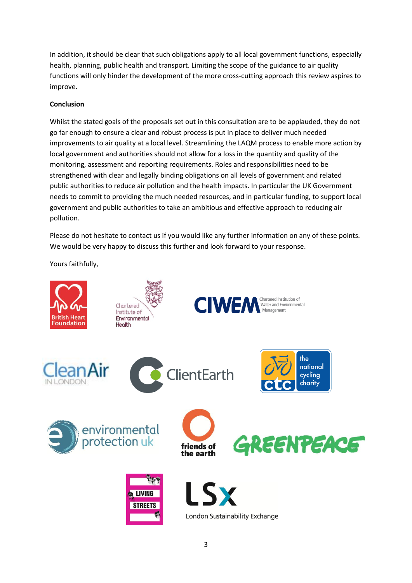In addition, it should be clear that such obligations apply to all local government functions, especially health, planning, public health and transport. Limiting the scope of the guidance to air quality functions will only hinder the development of the more cross-cutting approach this review aspires to improve.

## **Conclusion**

Whilst the stated goals of the proposals set out in this consultation are to be applauded, they do not go far enough to ensure a clear and robust process is put in place to deliver much needed improvements to air quality at a local level. Streamlining the LAQM process to enable more action by local government and authorities should not allow for a loss in the quantity and quality of the monitoring, assessment and reporting requirements. Roles and responsibilities need to be strengthened with clear and legally binding obligations on all levels of government and related public authorities to reduce air pollution and the health impacts. In particular the UK Government needs to commit to providing the much needed resources, and in particular funding, to support local government and public authorities to take an ambitious and effective approach to reducing air pollution.

Please do not hesitate to contact us if you would like any further information on any of these points. We would be very happy to discuss this further and look forward to your response.

Yours faithfully,